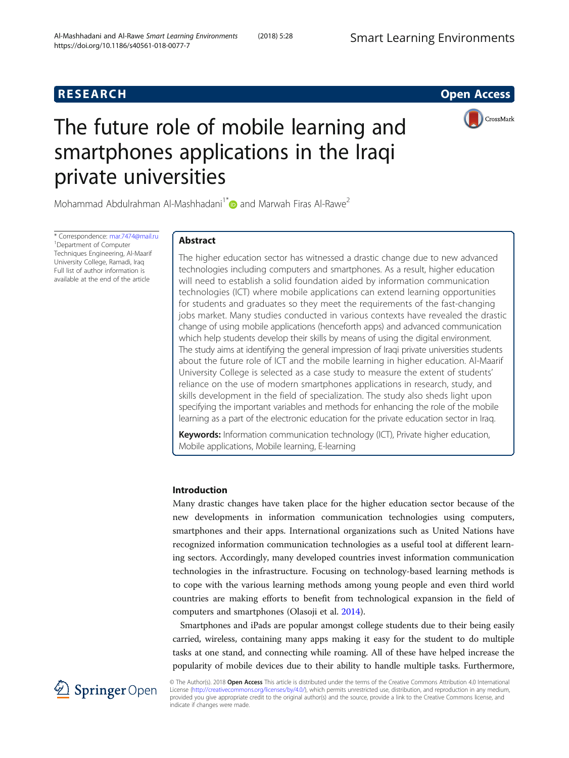



# The future role of mobile learning and smartphones applications in the Iraqi private universities

Mohammad Abdulrahman Al-Mashhadani<sup>1\*</sup> and Marwah Firas Al-Rawe<sup>2</sup>

\* Correspondence: [mar.7474@mail.ru](mailto:<?A3B2 twb=.27w?><?A3B2 tlsb=-.09pt?>mar.7474@mail.ru) <sup>1</sup> <sup>1</sup>Department of Computer Techniques Engineering, Al-Maarif University College, Ramadi, Iraq Full list of author information is available at the end of the article

# Abstract

The higher education sector has witnessed a drastic change due to new advanced technologies including computers and smartphones. As a result, higher education will need to establish a solid foundation aided by information communication technologies (ICT) where mobile applications can extend learning opportunities for students and graduates so they meet the requirements of the fast-changing jobs market. Many studies conducted in various contexts have revealed the drastic change of using mobile applications (henceforth apps) and advanced communication which help students develop their skills by means of using the digital environment. The study aims at identifying the general impression of Iraqi private universities students about the future role of ICT and the mobile learning in higher education. Al-Maarif University College is selected as a case study to measure the extent of students' reliance on the use of modern smartphones applications in research, study, and skills development in the field of specialization. The study also sheds light upon specifying the important variables and methods for enhancing the role of the mobile learning as a part of the electronic education for the private education sector in Iraq.

Keywords: Information communication technology (ICT), Private higher education, Mobile applications, Mobile learning, E-learning

# Introduction

Many drastic changes have taken place for the higher education sector because of the new developments in information communication technologies using computers, smartphones and their apps. International organizations such as United Nations have recognized information communication technologies as a useful tool at different learning sectors. Accordingly, many developed countries invest information communication technologies in the infrastructure. Focusing on technology-based learning methods is to cope with the various learning methods among young people and even third world countries are making efforts to benefit from technological expansion in the field of computers and smartphones (Olasoji et al. [2014](#page-10-0)).

Smartphones and iPads are popular amongst college students due to their being easily carried, wireless, containing many apps making it easy for the student to do multiple tasks at one stand, and connecting while roaming. All of these have helped increase the popularity of mobile devices due to their ability to handle multiple tasks. Furthermore,



© The Author(s). 2018 Open Access This article is distributed under the terms of the Creative Commons Attribution 4.0 International License [\(http://creativecommons.org/licenses/by/4.0/](http://creativecommons.org/licenses/by/4.0/)), which permits unrestricted use, distribution, and reproduction in any medium, provided you give appropriate credit to the original author(s) and the source, provide a link to the Creative Commons license, and indicate if changes were made.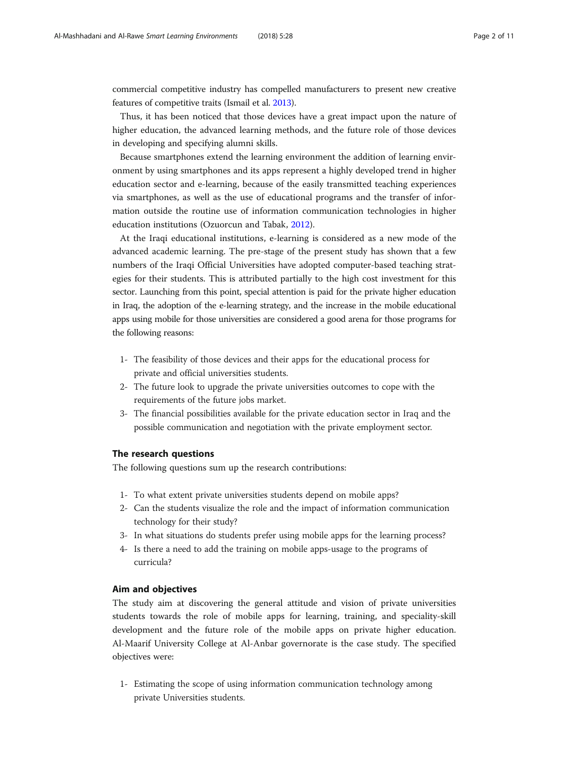commercial competitive industry has compelled manufacturers to present new creative features of competitive traits (Ismail et al. [2013](#page-10-0)).

Thus, it has been noticed that those devices have a great impact upon the nature of higher education, the advanced learning methods, and the future role of those devices in developing and specifying alumni skills.

Because smartphones extend the learning environment the addition of learning environment by using smartphones and its apps represent a highly developed trend in higher education sector and e-learning, because of the easily transmitted teaching experiences via smartphones, as well as the use of educational programs and the transfer of information outside the routine use of information communication technologies in higher education institutions (Ozuorcun and Tabak, [2012](#page-10-0)).

At the Iraqi educational institutions, e-learning is considered as a new mode of the advanced academic learning. The pre-stage of the present study has shown that a few numbers of the Iraqi Official Universities have adopted computer-based teaching strategies for their students. This is attributed partially to the high cost investment for this sector. Launching from this point, special attention is paid for the private higher education in Iraq, the adoption of the e-learning strategy, and the increase in the mobile educational apps using mobile for those universities are considered a good arena for those programs for the following reasons:

- 1- The feasibility of those devices and their apps for the educational process for private and official universities students.
- 2- The future look to upgrade the private universities outcomes to cope with the requirements of the future jobs market.
- 3- The financial possibilities available for the private education sector in Iraq and the possible communication and negotiation with the private employment sector.

#### The research questions

The following questions sum up the research contributions:

- 1- To what extent private universities students depend on mobile apps?
- 2- Can the students visualize the role and the impact of information communication technology for their study?
- 3- In what situations do students prefer using mobile apps for the learning process?
- 4- Is there a need to add the training on mobile apps-usage to the programs of curricula?

# Aim and objectives

The study aim at discovering the general attitude and vision of private universities students towards the role of mobile apps for learning, training, and speciality-skill development and the future role of the mobile apps on private higher education. Al-Maarif University College at Al-Anbar governorate is the case study. The specified objectives were:

1- Estimating the scope of using information communication technology among private Universities students.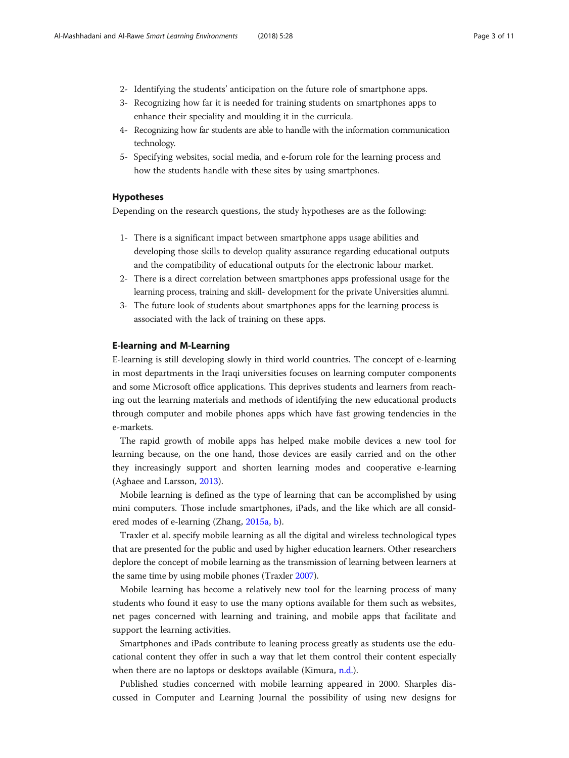- 2- Identifying the students' anticipation on the future role of smartphone apps.
- 3- Recognizing how far it is needed for training students on smartphones apps to enhance their speciality and moulding it in the curricula.
- 4- Recognizing how far students are able to handle with the information communication technology.
- 5- Specifying websites, social media, and e-forum role for the learning process and how the students handle with these sites by using smartphones.

# Hypotheses

Depending on the research questions, the study hypotheses are as the following:

- 1- There is a significant impact between smartphone apps usage abilities and developing those skills to develop quality assurance regarding educational outputs and the compatibility of educational outputs for the electronic labour market.
- 2- There is a direct correlation between smartphones apps professional usage for the learning process, training and skill- development for the private Universities alumni.
- 3- The future look of students about smartphones apps for the learning process is associated with the lack of training on these apps.

#### E-learning and M-Learning

E-learning is still developing slowly in third world countries. The concept of e-learning in most departments in the Iraqi universities focuses on learning computer components and some Microsoft office applications. This deprives students and learners from reaching out the learning materials and methods of identifying the new educational products through computer and mobile phones apps which have fast growing tendencies in the e-markets.

The rapid growth of mobile apps has helped make mobile devices a new tool for learning because, on the one hand, those devices are easily carried and on the other they increasingly support and shorten learning modes and cooperative e-learning (Aghaee and Larsson, [2013\)](#page-10-0).

Mobile learning is defined as the type of learning that can be accomplished by using mini computers. Those include smartphones, iPads, and the like which are all considered modes of e-learning (Zhang, [2015a](#page-10-0), [b\)](#page-10-0).

Traxler et al. specify mobile learning as all the digital and wireless technological types that are presented for the public and used by higher education learners. Other researchers deplore the concept of mobile learning as the transmission of learning between learners at the same time by using mobile phones (Traxler [2007](#page-10-0)).

Mobile learning has become a relatively new tool for the learning process of many students who found it easy to use the many options available for them such as websites, net pages concerned with learning and training, and mobile apps that facilitate and support the learning activities.

Smartphones and iPads contribute to leaning process greatly as students use the educational content they offer in such a way that let them control their content especially when there are no laptops or desktops available (Kimura, [n.d.\)](#page-10-0).

Published studies concerned with mobile learning appeared in 2000. Sharples discussed in Computer and Learning Journal the possibility of using new designs for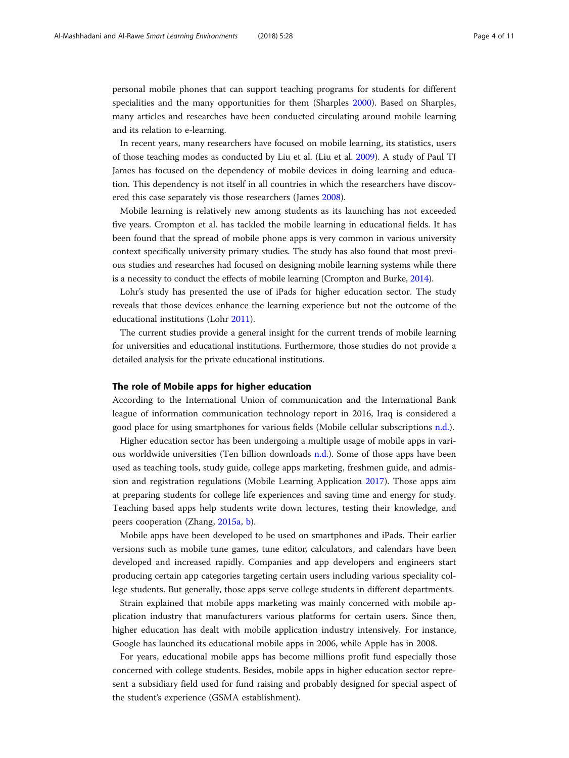personal mobile phones that can support teaching programs for students for different specialities and the many opportunities for them (Sharples [2000](#page-10-0)). Based on Sharples, many articles and researches have been conducted circulating around mobile learning and its relation to e-learning.

In recent years, many researchers have focused on mobile learning, its statistics, users of those teaching modes as conducted by Liu et al. (Liu et al. [2009](#page-10-0)). A study of Paul TJ James has focused on the dependency of mobile devices in doing learning and education. This dependency is not itself in all countries in which the researchers have discovered this case separately vis those researchers (James [2008\)](#page-10-0).

Mobile learning is relatively new among students as its launching has not exceeded five years. Crompton et al. has tackled the mobile learning in educational fields. It has been found that the spread of mobile phone apps is very common in various university context specifically university primary studies. The study has also found that most previous studies and researches had focused on designing mobile learning systems while there is a necessity to conduct the effects of mobile learning (Crompton and Burke, [2014\)](#page-10-0).

Lohr's study has presented the use of iPads for higher education sector. The study reveals that those devices enhance the learning experience but not the outcome of the educational institutions (Lohr [2011\)](#page-10-0).

The current studies provide a general insight for the current trends of mobile learning for universities and educational institutions. Furthermore, those studies do not provide a detailed analysis for the private educational institutions.

### The role of Mobile apps for higher education

According to the International Union of communication and the International Bank league of information communication technology report in 2016, Iraq is considered a good place for using smartphones for various fields (Mobile cellular subscriptions [n.d.](#page-10-0)).

Higher education sector has been undergoing a multiple usage of mobile apps in various worldwide universities (Ten billion downloads [n.d.\)](#page-10-0). Some of those apps have been used as teaching tools, study guide, college apps marketing, freshmen guide, and admission and registration regulations (Mobile Learning Application [2017](#page-10-0)). Those apps aim at preparing students for college life experiences and saving time and energy for study. Teaching based apps help students write down lectures, testing their knowledge, and peers cooperation (Zhang, [2015a](#page-10-0), [b\)](#page-10-0).

Mobile apps have been developed to be used on smartphones and iPads. Their earlier versions such as mobile tune games, tune editor, calculators, and calendars have been developed and increased rapidly. Companies and app developers and engineers start producing certain app categories targeting certain users including various speciality college students. But generally, those apps serve college students in different departments.

Strain explained that mobile apps marketing was mainly concerned with mobile application industry that manufacturers various platforms for certain users. Since then, higher education has dealt with mobile application industry intensively. For instance, Google has launched its educational mobile apps in 2006, while Apple has in 2008.

For years, educational mobile apps has become millions profit fund especially those concerned with college students. Besides, mobile apps in higher education sector represent a subsidiary field used for fund raising and probably designed for special aspect of the student's experience (GSMA establishment).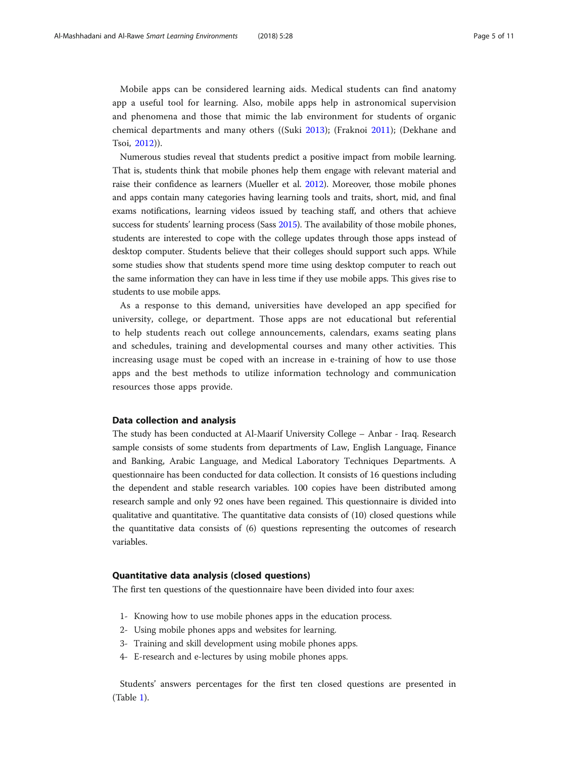Mobile apps can be considered learning aids. Medical students can find anatomy app a useful tool for learning. Also, mobile apps help in astronomical supervision and phenomena and those that mimic the lab environment for students of organic chemical departments and many others ((Suki [2013](#page-10-0)); (Fraknoi [2011\)](#page-10-0); (Dekhane and Tsoi, [2012](#page-10-0))).

Numerous studies reveal that students predict a positive impact from mobile learning. That is, students think that mobile phones help them engage with relevant material and raise their confidence as learners (Mueller et al. [2012\)](#page-10-0). Moreover, those mobile phones and apps contain many categories having learning tools and traits, short, mid, and final exams notifications, learning videos issued by teaching staff, and others that achieve success for students' learning process (Sass [2015](#page-10-0)). The availability of those mobile phones, students are interested to cope with the college updates through those apps instead of desktop computer. Students believe that their colleges should support such apps. While some studies show that students spend more time using desktop computer to reach out the same information they can have in less time if they use mobile apps. This gives rise to students to use mobile apps.

As a response to this demand, universities have developed an app specified for university, college, or department. Those apps are not educational but referential to help students reach out college announcements, calendars, exams seating plans and schedules, training and developmental courses and many other activities. This increasing usage must be coped with an increase in e-training of how to use those apps and the best methods to utilize information technology and communication resources those apps provide.

### Data collection and analysis

The study has been conducted at Al-Maarif University College – Anbar - Iraq. Research sample consists of some students from departments of Law, English Language, Finance and Banking, Arabic Language, and Medical Laboratory Techniques Departments. A questionnaire has been conducted for data collection. It consists of 16 questions including the dependent and stable research variables. 100 copies have been distributed among research sample and only 92 ones have been regained. This questionnaire is divided into qualitative and quantitative. The quantitative data consists of (10) closed questions while the quantitative data consists of (6) questions representing the outcomes of research variables.

# Quantitative data analysis (closed questions)

The first ten questions of the questionnaire have been divided into four axes:

- 1- Knowing how to use mobile phones apps in the education process.
- 2- Using mobile phones apps and websites for learning.
- 3- Training and skill development using mobile phones apps.
- 4- E-research and e-lectures by using mobile phones apps.

Students' answers percentages for the first ten closed questions are presented in (Table [1\)](#page-5-0).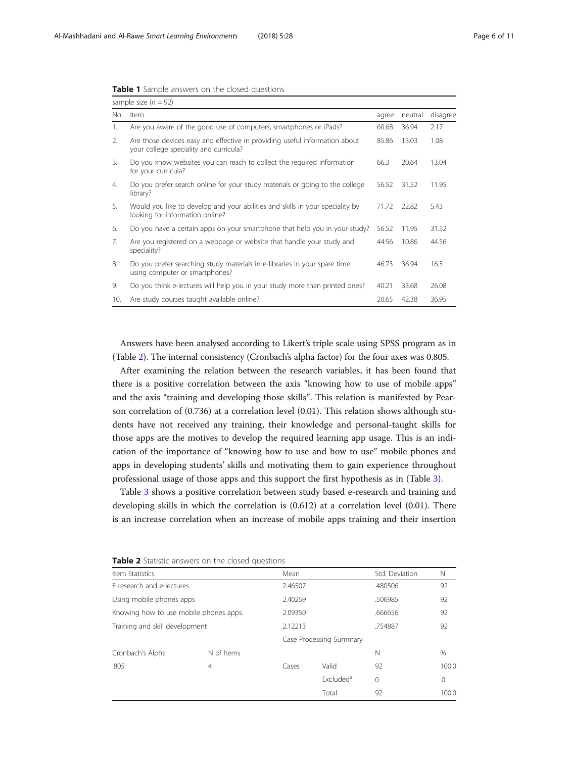|     | sample size $(n = 92)$                                                                                               |       |         |          |
|-----|----------------------------------------------------------------------------------------------------------------------|-------|---------|----------|
| No. | Item                                                                                                                 | agree | neutral | disagree |
| 1.  | Are you aware of the good use of computers, smartphones or iPads?                                                    | 60.68 | 36.94   | 2.17     |
| 2.  | Are those devices easy and effective in providing useful information about<br>your college speciality and curricula? | 85.86 | 13.03   | 1.08     |
| 3.  | Do you know websites you can reach to collect the required information<br>for your curricula?                        | 66.3  | 20.64   | 13.04    |
| 4.  | Do you prefer search online for your study materials or going to the college<br>library?                             | 56.52 | 31.52   | 11.95    |
| 5.  | Would you like to develop and your abilities and skills in your speciality by<br>looking for information online?     | 71.72 | 22.82   | 5.43     |
| 6.  | Do you have a certain apps on your smartphone that help you in your study?                                           | 56.52 | 11.95   | 31.52    |
| 7.  | Are you registered on a webpage or website that handle your study and<br>speciality?                                 | 44.56 | 10.86   | 44.56    |
| 8.  | Do you prefer searching study materials in e-libraries in your spare time<br>using computer or smartphones?          | 46.73 | 36.94   | 16.3     |
| 9.  | Do you think e-lectures will help you in your study more than printed ones?                                          | 40.21 | 33.68   | 26.08    |
| 10. | Are study courses taught available online?                                                                           | 20.65 | 42.38   | 36.95    |

<span id="page-5-0"></span>Table 1 Sample answers on the closed questions

Answers have been analysed according to Likert's triple scale using SPSS program as in (Table 2). The internal consistency (Cronbach's alpha factor) for the four axes was 0.805.

After examining the relation between the research variables, it has been found that there is a positive correlation between the axis "knowing how to use of mobile apps" and the axis "training and developing those skills". This relation is manifested by Pearson correlation of (0.736) at a correlation level (0.01). This relation shows although students have not received any training, their knowledge and personal-taught skills for those apps are the motives to develop the required learning app usage. This is an indication of the importance of "knowing how to use and how to use" mobile phones and apps in developing students' skills and motivating them to gain experience throughout professional usage of those apps and this support the first hypothesis as in (Table [3\)](#page-6-0).

Table [3](#page-6-0) shows a positive correlation between study based e-research and training and developing skills in which the correlation is (0.612) at a correlation level (0.01). There is an increase correlation when an increase of mobile apps training and their insertion

| Item Statistics                        |            | Mean    |                         | Std. Deviation | N     |
|----------------------------------------|------------|---------|-------------------------|----------------|-------|
| F-research and e-lectures              |            | 2.46507 |                         | .480506        | 92    |
| Using mobile phones apps               | 2.40259    |         | .506985                 | 92             |       |
| Knowing how to use mobile phones apps. | 2.09350    |         | .666656                 | 92             |       |
| Training and skill development         | 2.12213    |         | .754887                 | 92             |       |
|                                        |            |         | Case Processing Summary |                |       |
| Cronbach's Alpha                       | N of Items |         |                         | N              | $\%$  |
| .805                                   | 4          | Cases   | Valid                   | 92             | 100.0 |
|                                        |            |         | Excluded <sup>a</sup>   | $\Omega$       | .0    |
|                                        |            |         | Total                   | 92             | 100.0 |

| Table 2 Statistic answers on the closed questions |
|---------------------------------------------------|
|---------------------------------------------------|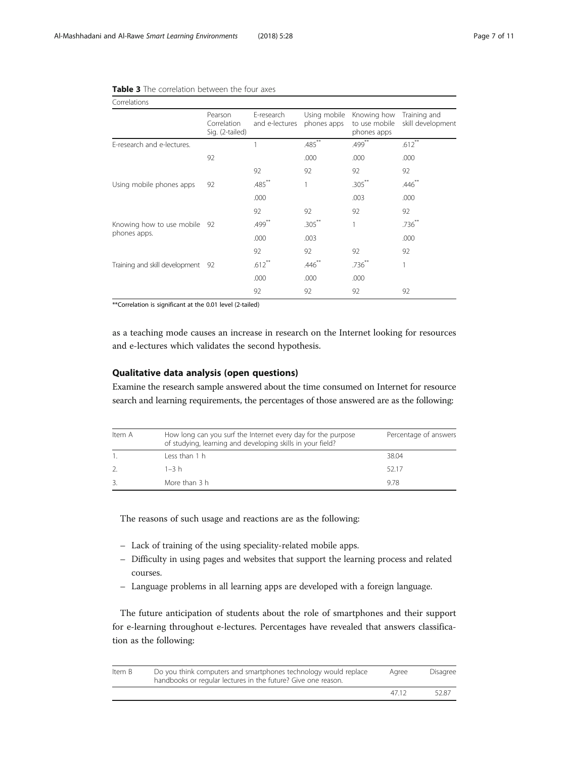Correlations

| Correlations                   |                                           |                              |                             |                                             |                                   |
|--------------------------------|-------------------------------------------|------------------------------|-----------------------------|---------------------------------------------|-----------------------------------|
|                                | Pearson<br>Correlation<br>Sig. (2-tailed) | E-research<br>and e-lectures | Using mobile<br>phones apps | Knowing how<br>to use mobile<br>phones apps | Training and<br>skill development |
| E-research and e-lectures.     |                                           | 1                            | $.485***$                   | .499**                                      | $.612$ **                         |
|                                | 92                                        |                              | .000                        | .000                                        | .000                              |
|                                |                                           | 92                           | 92                          | 92                                          | 92                                |
| Using mobile phones apps       | 92                                        | $.485$ <sup>*</sup>          | 1                           | $.305***$                                   | .446                              |
|                                |                                           | .000                         |                             | .003                                        | .000                              |
|                                |                                           | 92                           | 92                          | 92                                          | 92                                |
| Knowing how to use mobile 92   |                                           | .499                         | $.305***$                   | 1                                           | $.736^{**}$                       |
| phones apps.                   |                                           | .000                         | .003                        |                                             | .000                              |
|                                |                                           | 92                           | 92                          | 92                                          | 92                                |
| Training and skill development | -92                                       | $.612$ **                    | $.446^{**}$                 | $.736***$                                   |                                   |
|                                |                                           | .000                         | .000                        | .000                                        |                                   |
|                                |                                           | 92                           | 92                          | 92                                          | 92                                |

<span id="page-6-0"></span>

| <b>Table 3</b> The correlation between the four axes |  |  |  |  |  |  |  |
|------------------------------------------------------|--|--|--|--|--|--|--|
|------------------------------------------------------|--|--|--|--|--|--|--|

\*\*Correlation is significant at the 0.01 level (2-tailed)

as a teaching mode causes an increase in research on the Internet looking for resources and e-lectures which validates the second hypothesis.

#### Qualitative data analysis (open questions)

Examine the research sample answered about the time consumed on Internet for resource search and learning requirements, the percentages of those answered are as the following:

| Item A | How long can you surf the Internet every day for the purpose<br>of studying, learning and developing skills in your field? | Percentage of answers |
|--------|----------------------------------------------------------------------------------------------------------------------------|-----------------------|
|        | Less than 1 h                                                                                                              | 38.04                 |
|        | $1 - 3 h$                                                                                                                  | 5217                  |
|        | More than 3 h                                                                                                              | 978                   |

The reasons of such usage and reactions are as the following:

- Lack of training of the using speciality-related mobile apps.
- Difficulty in using pages and websites that support the learning process and related courses.
- Language problems in all learning apps are developed with a foreign language.

The future anticipation of students about the role of smartphones and their support for e-learning throughout e-lectures. Percentages have revealed that answers classification as the following:

| Item B | Do you think computers and smartphones technology would replace<br>handbooks or regular lectures in the future? Give one reason. | Aaree | Disagree |
|--------|----------------------------------------------------------------------------------------------------------------------------------|-------|----------|
|        |                                                                                                                                  | 4712  | 52.87    |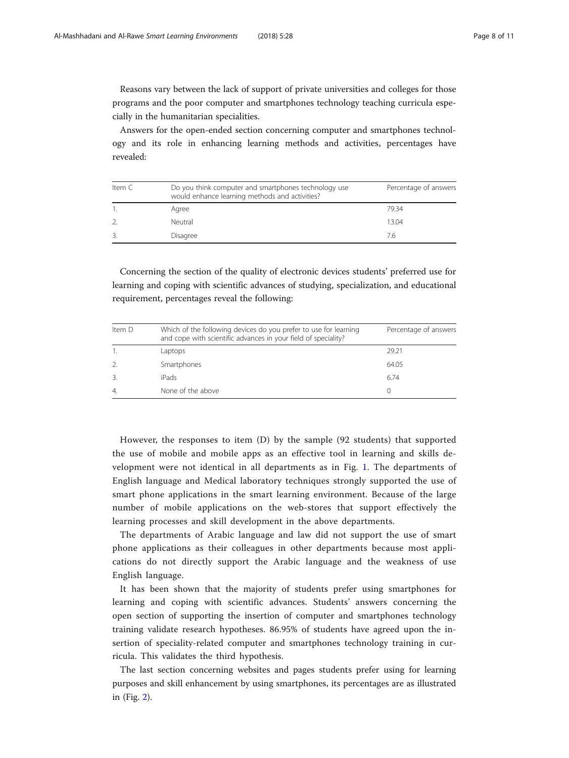Reasons vary between the lack of support of private universities and colleges for those programs and the poor computer and smartphones technology teaching curricula especially in the humanitarian specialities.

Answers for the open-ended section concerning computer and smartphones technology and its role in enhancing learning methods and activities, percentages have revealed:

| Item $\subset$ | Do you think computer and smartphones technology use<br>would enhance learning methods and activities? | Percentage of answers |
|----------------|--------------------------------------------------------------------------------------------------------|-----------------------|
|                | Agree                                                                                                  | 7934                  |
|                | Neutral                                                                                                | 13.04                 |
|                | Disagree                                                                                               | 76                    |

Concerning the section of the quality of electronic devices students' preferred use for learning and coping with scientific advances of studying, specialization, and educational requirement, percentages reveal the following:

| Item D         | Which of the following devices do you prefer to use for learning<br>and cope with scientific advances in your field of speciality? | Percentage of answers |
|----------------|------------------------------------------------------------------------------------------------------------------------------------|-----------------------|
|                | Laptops                                                                                                                            | 29.21                 |
|                | Smartphones                                                                                                                        | 64.05                 |
| 3.             | iPads                                                                                                                              | 6.74                  |
| $\overline{4}$ | None of the above                                                                                                                  | 0                     |

However, the responses to item (D) by the sample (92 students) that supported the use of mobile and mobile apps as an effective tool in learning and skills development were not identical in all departments as in Fig. [1](#page-8-0). The departments of English language and Medical laboratory techniques strongly supported the use of smart phone applications in the smart learning environment. Because of the large number of mobile applications on the web-stores that support effectively the learning processes and skill development in the above departments.

The departments of Arabic language and law did not support the use of smart phone applications as their colleagues in other departments because most applications do not directly support the Arabic language and the weakness of use English language.

It has been shown that the majority of students prefer using smartphones for learning and coping with scientific advances. Students' answers concerning the open section of supporting the insertion of computer and smartphones technology training validate research hypotheses. 86.95% of students have agreed upon the insertion of speciality-related computer and smartphones technology training in curricula. This validates the third hypothesis.

The last section concerning websites and pages students prefer using for learning purposes and skill enhancement by using smartphones, its percentages are as illustrated in (Fig. [2](#page-9-0)).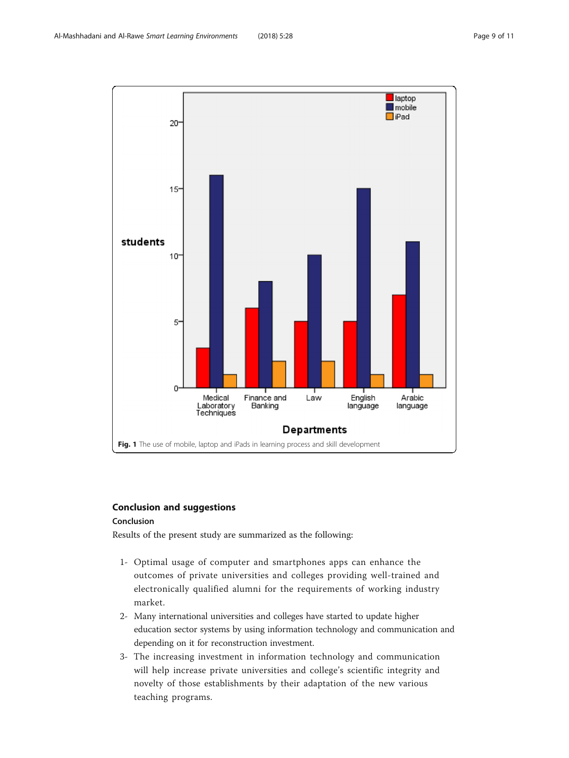<span id="page-8-0"></span>

# Conclusion and suggestions

#### Conclusion

Results of the present study are summarized as the following:

- 1- Optimal usage of computer and smartphones apps can enhance the outcomes of private universities and colleges providing well-trained and electronically qualified alumni for the requirements of working industry market.
- 2- Many international universities and colleges have started to update higher education sector systems by using information technology and communication and depending on it for reconstruction investment.
- 3- The increasing investment in information technology and communication will help increase private universities and college's scientific integrity and novelty of those establishments by their adaptation of the new various teaching programs.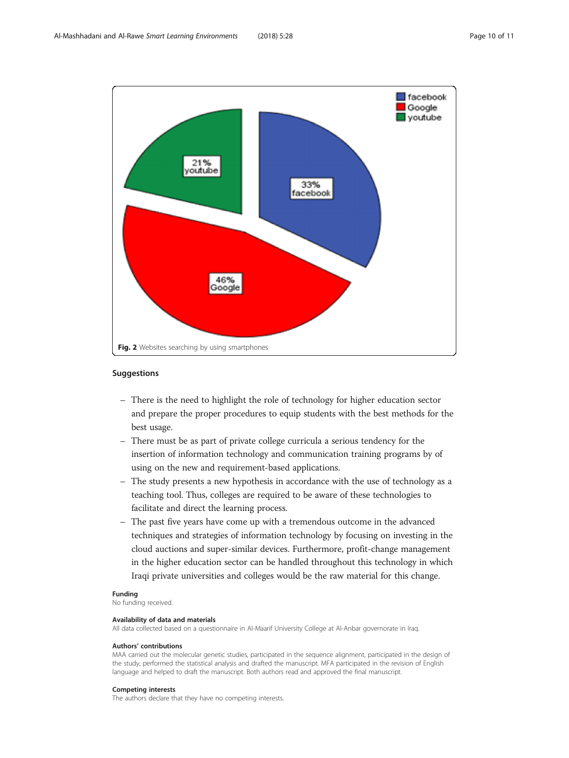<span id="page-9-0"></span>

#### **Suggestions**

- There is the need to highlight the role of technology for higher education sector and prepare the proper procedures to equip students with the best methods for the best usage.
- There must be as part of private college curricula a serious tendency for the insertion of information technology and communication training programs by of using on the new and requirement-based applications.
- The study presents a new hypothesis in accordance with the use of technology as a teaching tool. Thus, colleges are required to be aware of these technologies to facilitate and direct the learning process.
- The past five years have come up with a tremendous outcome in the advanced techniques and strategies of information technology by focusing on investing in the cloud auctions and super-similar devices. Furthermore, profit-change management in the higher education sector can be handled throughout this technology in which Iraqi private universities and colleges would be the raw material for this change.

#### Funding

No funding received.

#### Availability of data and materials

All data collected based on a questionnaire in Al-Maarif University College at Al-Anbar governorate in Iraq.

#### Authors' contributions

MAA carried out the molecular genetic studies, participated in the sequence alignment, participated in the design of the study, performed the statistical analysis and drafted the manuscript. MFA participated in the revision of English language and helped to draft the manuscript. Both authors read and approved the final manuscript.

#### Competing interests

The authors declare that they have no competing interests.